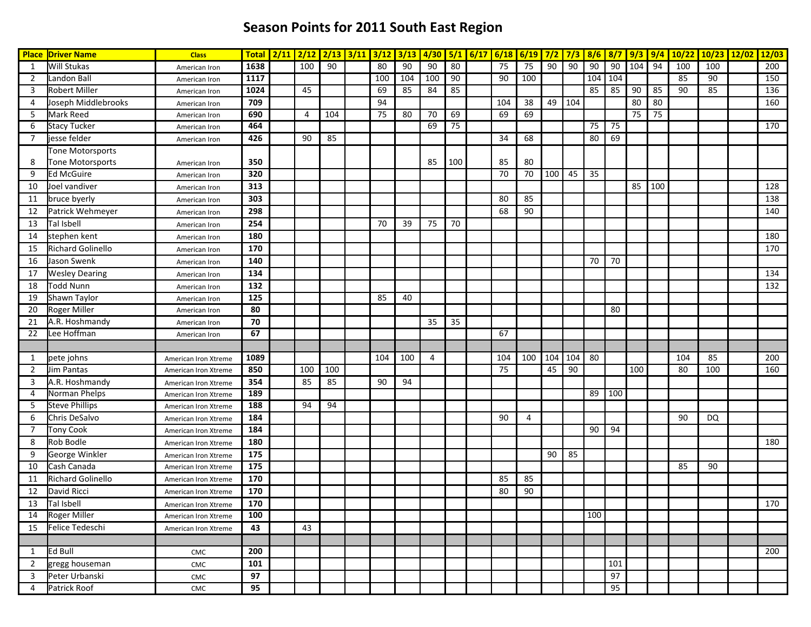## **Season Points for 2011 South East Region**

| <b>Place</b>   | <b>Driver Name</b>       | <b>Class</b>         | Total $2/11$    |     |     | $2/12$ $2/13$ $3/11$ $3/12$ |     | 3/13 | 4/30 | 5/1             | $6/17$ 6/18 |     | 6/19 |     | $17/2$ $17/3$ $8/6$ |                 | 8/7             | 9/3 | 9/4 | 10/22 | $10/23$ 12/02 | 12/03 |
|----------------|--------------------------|----------------------|-----------------|-----|-----|-----------------------------|-----|------|------|-----------------|-------------|-----|------|-----|---------------------|-----------------|-----------------|-----|-----|-------|---------------|-------|
| 1              | <b>Will Stukas</b>       | American Iron        | 1638            | 100 | 90  |                             | 80  | 90   | 90   | 80              |             | 75  | 75   | 90  | 90                  | 90              | 90              | 104 | 94  | 100   | 100           | 200   |
| $\overline{2}$ | <b>Landon Ball</b>       | American Iron        | 1117            |     |     |                             | 100 | 104  | 100  | $\overline{90}$ |             | 90  | 100  |     |                     | $104$ 104       |                 |     |     | 85    | 90            | 150   |
| 3              | <b>Robert Miller</b>     | American Iron        | 1024            | 45  |     |                             | 69  | 85   | 84   | 85              |             |     |      |     |                     | 85              | 85              | 90  | 85  | 90    | 85            | 136   |
| 4              | Joseph Middlebrooks      | American Iron        | 709             |     |     |                             | 94  |      |      |                 |             | 104 | 38   | 49  | 104                 |                 |                 | 80  | 80  |       |               | 160   |
| 5              | Mark Reed                | American Iron        | 690             | 4   | 104 |                             | 75  | 80   | 70   | 69              |             | 69  | 69   |     |                     |                 |                 | 75  | 75  |       |               |       |
| 6              | <b>Stacy Tucker</b>      | American Iron        | 464             |     |     |                             |     |      | 69   | 75              |             |     |      |     |                     | $\overline{75}$ | 75              |     |     |       |               | 170   |
| 7              | jesse felder             | American Iron        | 426             | 90  | 85  |                             |     |      |      |                 |             | 34  | 68   |     |                     | 80              | 69              |     |     |       |               |       |
|                | Tone Motorsports         |                      |                 |     |     |                             |     |      |      |                 |             |     |      |     |                     |                 |                 |     |     |       |               |       |
| 8              | <b>Tone Motorsports</b>  | American Iron        | 350             |     |     |                             |     |      | 85   | 100             |             | 85  | 80   |     |                     |                 |                 |     |     |       |               |       |
| 9              | <b>Ed McGuire</b>        | American Iron        | 320             |     |     |                             |     |      |      |                 |             | 70  | 70   | 100 | 45                  | $\overline{35}$ |                 |     |     |       |               |       |
| 10             | Joel vandiver            | American Iron        | 313             |     |     |                             |     |      |      |                 |             |     |      |     |                     |                 |                 | 85  | 100 |       |               | 128   |
| 11             | bruce byerly             | American Iron        | 303             |     |     |                             |     |      |      |                 |             | 80  | 85   |     |                     |                 |                 |     |     |       |               | 138   |
| 12             | Patrick Wehmeyer         | American Iron        | 298             |     |     |                             |     |      |      |                 |             | 68  | 90   |     |                     |                 |                 |     |     |       |               | 140   |
| 13             | Tal Isbell               | American Iron        | 254             |     |     |                             | 70  | 39   | 75   | 70              |             |     |      |     |                     |                 |                 |     |     |       |               |       |
| 14             | stephen kent             | American Iron        | 180             |     |     |                             |     |      |      |                 |             |     |      |     |                     |                 |                 |     |     |       |               | 180   |
| 15             | <b>Richard Golinello</b> | American Iron        | 170             |     |     |                             |     |      |      |                 |             |     |      |     |                     |                 |                 |     |     |       |               | 170   |
| 16             | Jason Swenk              | American Iron        | 140             |     |     |                             |     |      |      |                 |             |     |      |     |                     | 70              | 70              |     |     |       |               |       |
| 17             | <b>Wesley Dearing</b>    | American Iron        | 134             |     |     |                             |     |      |      |                 |             |     |      |     |                     |                 |                 |     |     |       |               | 134   |
| 18             | <b>Todd Nunn</b>         | American Iron        | 132             |     |     |                             |     |      |      |                 |             |     |      |     |                     |                 |                 |     |     |       |               | 132   |
| 19             | Shawn Taylor             | American Iron        | 125             |     |     |                             | 85  | 40   |      |                 |             |     |      |     |                     |                 |                 |     |     |       |               |       |
| 20             | Roger Miller             | American Iron        | 80              |     |     |                             |     |      |      |                 |             |     |      |     |                     |                 | 80              |     |     |       |               |       |
| 21             | A.R. Hoshmandy           | American Iron        | 70              |     |     |                             |     |      | 35   | 35              |             |     |      |     |                     |                 |                 |     |     |       |               |       |
| 22             | Lee Hoffman              | American Iron        | 67              |     |     |                             |     |      |      |                 |             | 67  |      |     |                     |                 |                 |     |     |       |               |       |
|                |                          |                      |                 |     |     |                             |     |      |      |                 |             |     |      |     |                     |                 |                 |     |     |       |               |       |
| 1              | pete johns               | American Iron Xtreme | 1089            |     |     |                             | 104 | 100  | 4    |                 |             | 104 | 100  | 104 | 104                 | 80              |                 |     |     | 104   | 85            | 200   |
| $\overline{2}$ | Jim Pantas               | American Iron Xtreme | 850             | 100 | 100 |                             |     |      |      |                 |             | 75  |      | 45  | 90                  |                 |                 | 100 |     | 80    | 100           | 160   |
| 3              | A.R. Hoshmandy           | American Iron Xtreme | 354             | 85  | 85  |                             | 90  | 94   |      |                 |             |     |      |     |                     |                 |                 |     |     |       |               |       |
| 4              | Norman Phelps            | American Iron Xtreme | 189             |     |     |                             |     |      |      |                 |             |     |      |     |                     | 89              | 100             |     |     |       |               |       |
| 5              | <b>Steve Phillips</b>    | American Iron Xtreme | 188             | 94  | 94  |                             |     |      |      |                 |             |     |      |     |                     |                 |                 |     |     |       |               |       |
| 6              | Chris DeSalvo            | American Iron Xtreme | 184             |     |     |                             |     |      |      |                 |             | 90  | 4    |     |                     |                 |                 |     |     | 90    | DQ            |       |
| $\overline{7}$ | <b>Tony Cook</b>         | American Iron Xtreme | 184             |     |     |                             |     |      |      |                 |             |     |      |     |                     | 90              | 94              |     |     |       |               |       |
| 8              | Rob Bodle                | American Iron Xtreme | 180             |     |     |                             |     |      |      |                 |             |     |      |     |                     |                 |                 |     |     |       |               | 180   |
| 9              | George Winkler           | American Iron Xtreme | 175             |     |     |                             |     |      |      |                 |             |     |      | 90  | 85                  |                 |                 |     |     |       |               |       |
| 10             | Cash Canada              | American Iron Xtreme | $\frac{175}{2}$ |     |     |                             |     |      |      |                 |             |     |      |     |                     |                 |                 |     |     | 85    | 90            |       |
| 11             | <b>Richard Golinello</b> | American Iron Xtreme | 170             |     |     |                             |     |      |      |                 |             | 85  | 85   |     |                     |                 |                 |     |     |       |               |       |
| 12             | David Ricci              | American Iron Xtreme | 170             |     |     |                             |     |      |      |                 |             | 80  | 90   |     |                     |                 |                 |     |     |       |               |       |
| 13             | Tal Isbell               | American Iron Xtreme | 170             |     |     |                             |     |      |      |                 |             |     |      |     |                     |                 |                 |     |     |       |               | 170   |
| 14             | Roger Miller             | American Iron Xtreme | 100             |     |     |                             |     |      |      |                 |             |     |      |     |                     | 100             |                 |     |     |       |               |       |
| 15             | Felice Tedeschi          | American Iron Xtreme | 43              | 43  |     |                             |     |      |      |                 |             |     |      |     |                     |                 |                 |     |     |       |               |       |
|                |                          |                      |                 |     |     |                             |     |      |      |                 |             |     |      |     |                     |                 |                 |     |     |       |               |       |
| 1              | Ed Bull                  | CMC                  | 200             |     |     |                             |     |      |      |                 |             |     |      |     |                     |                 |                 |     |     |       |               | 200   |
| $\overline{2}$ | gregg houseman           | CMC                  | 101             |     |     |                             |     |      |      |                 |             |     |      |     |                     |                 | 101             |     |     |       |               |       |
| 3              | Peter Urbanski           | CMC                  | 97              |     |     |                             |     |      |      |                 |             |     |      |     |                     |                 | 97              |     |     |       |               |       |
| 4              | Patrick Roof             | CMC                  | 95              |     |     |                             |     |      |      |                 |             |     |      |     |                     |                 | $\overline{95}$ |     |     |       |               |       |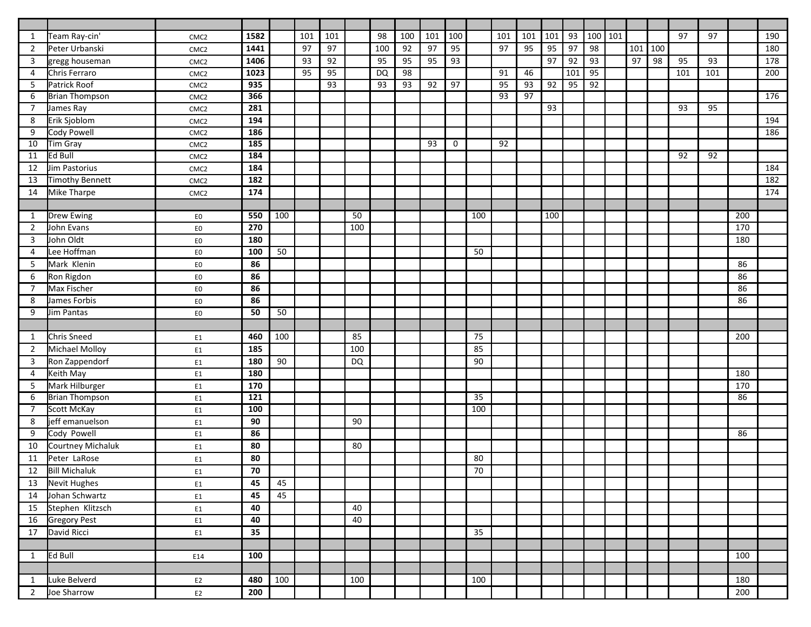| $\mathbf{1}$   | Team Ray-cin'          | CMC <sub>2</sub> | 1582       |     | 101 | 101             |           | 98        | 100             | 101 | 100             |     | 101             | 101             | 101             | 93  | $100$ 101 |     |     | 97  | 97  |     | 190 |
|----------------|------------------------|------------------|------------|-----|-----|-----------------|-----------|-----------|-----------------|-----|-----------------|-----|-----------------|-----------------|-----------------|-----|-----------|-----|-----|-----|-----|-----|-----|
| $\overline{2}$ | Peter Urbanski         | CMC <sub>2</sub> | 1441       |     | 97  | 97              |           | 100       | 92              | 97  | 95              |     | 97              | 95              | 95              | 97  | 98        | 101 | 100 |     |     |     | 180 |
| 3              | gregg houseman         | CMC <sub>2</sub> | 1406       |     | 93  | 92              |           | 95        | 95              | 95  | 93              |     |                 |                 | 97              | 92  | 93        | 97  | 98  | 95  | 93  |     | 178 |
| 4              | Chris Ferraro          | CMC <sub>2</sub> | 1023       |     | 95  | 95              |           | <b>DQ</b> | 98              |     |                 |     | 91              | 46              |                 | 101 | 95        |     |     | 101 | 101 |     | 200 |
| 5              | Patrick Roof           | CMC <sub>2</sub> | 935        |     |     | $\overline{93}$ |           | 93        | $\overline{93}$ | 92  | $\overline{97}$ |     | 95              | $\overline{93}$ | $\overline{92}$ | 95  | 92        |     |     |     |     |     |     |
| 6              | <b>Brian Thompson</b>  | CMC <sub>2</sub> | 366        |     |     |                 |           |           |                 |     |                 |     | $\overline{93}$ | $\overline{97}$ |                 |     |           |     |     |     |     |     | 176 |
| 7              | James Ray              | CMC <sub>2</sub> | 281        |     |     |                 |           |           |                 |     |                 |     |                 |                 | $\overline{93}$ |     |           |     |     | 93  | 95  |     |     |
| 8              | Erik Sjoblom           | CMC <sub>2</sub> | 194        |     |     |                 |           |           |                 |     |                 |     |                 |                 |                 |     |           |     |     |     |     |     | 194 |
| 9              | Cody Powell            | CMC <sub>2</sub> | 186        |     |     |                 |           |           |                 |     |                 |     |                 |                 |                 |     |           |     |     |     |     |     | 186 |
| 10             | Tim Gray               | CMC <sub>2</sub> | 185        |     |     |                 |           |           |                 | 93  | 0               |     | 92              |                 |                 |     |           |     |     |     |     |     |     |
| 11             | <b>Ed Bull</b>         | CMC <sub>2</sub> | 184        |     |     |                 |           |           |                 |     |                 |     |                 |                 |                 |     |           |     |     | 92  | 92  |     |     |
| 12             | Jim Pastorius          | CMC <sub>2</sub> | 184        |     |     |                 |           |           |                 |     |                 |     |                 |                 |                 |     |           |     |     |     |     |     | 184 |
| 13             | <b>Timothy Bennett</b> | CMC <sub>2</sub> | 182        |     |     |                 |           |           |                 |     |                 |     |                 |                 |                 |     |           |     |     |     |     |     | 182 |
| 14             | Mike Tharpe            | CMC <sub>2</sub> | 174        |     |     |                 |           |           |                 |     |                 |     |                 |                 |                 |     |           |     |     |     |     |     | 174 |
|                |                        |                  |            |     |     |                 |           |           |                 |     |                 |     |                 |                 |                 |     |           |     |     |     |     |     |     |
| $\mathbf{1}$   | <b>Drew Ewing</b>      | E <sub>0</sub>   | 550        | 100 |     |                 | 50        |           |                 |     |                 | 100 |                 |                 | 100             |     |           |     |     |     |     | 200 |     |
| $\overline{2}$ | John Evans             | E <sub>0</sub>   | 270        |     |     |                 | 100       |           |                 |     |                 |     |                 |                 |                 |     |           |     |     |     |     | 170 |     |
| 3              | John Oldt              | E <sub>0</sub>   | 180        |     |     |                 |           |           |                 |     |                 |     |                 |                 |                 |     |           |     |     |     |     | 180 |     |
| 4              | Lee Hoffman            | E <sub>0</sub>   | 100        | 50  |     |                 |           |           |                 |     |                 | 50  |                 |                 |                 |     |           |     |     |     |     |     |     |
| 5              | Mark Klenin            | EO               | 86         |     |     |                 |           |           |                 |     |                 |     |                 |                 |                 |     |           |     |     |     |     | 86  |     |
| 6              | Ron Rigdon             | E <sub>0</sub>   | 86         |     |     |                 |           |           |                 |     |                 |     |                 |                 |                 |     |           |     |     |     |     | 86  |     |
| $\overline{7}$ | Max Fischer            | E <sub>0</sub>   | 86         |     |     |                 |           |           |                 |     |                 |     |                 |                 |                 |     |           |     |     |     |     | 86  |     |
| 8              | James Forbis           | E <sub>0</sub>   | 86         |     |     |                 |           |           |                 |     |                 |     |                 |                 |                 |     |           |     |     |     |     | 86  |     |
| 9              | Jim Pantas             | E <sub>0</sub>   | 50         | 50  |     |                 |           |           |                 |     |                 |     |                 |                 |                 |     |           |     |     |     |     |     |     |
|                |                        |                  |            |     |     |                 |           |           |                 |     |                 |     |                 |                 |                 |     |           |     |     |     |     |     |     |
| 1              | <b>Chris Sneed</b>     | E1               | 460        | 100 |     |                 | 85        |           |                 |     |                 | 75  |                 |                 |                 |     |           |     |     |     |     | 200 |     |
| $\overline{2}$ | Michael Molloy         | E1               | 185        |     |     |                 | 100       |           |                 |     |                 | 85  |                 |                 |                 |     |           |     |     |     |     |     |     |
| 3              | Ron Zappendorf         | E1               | 180        | 90  |     |                 | <b>DQ</b> |           |                 |     |                 | 90  |                 |                 |                 |     |           |     |     |     |     |     |     |
| $\overline{4}$ | Keith May              | E1               | <b>180</b> |     |     |                 |           |           |                 |     |                 |     |                 |                 |                 |     |           |     |     |     |     | 180 |     |
| 5              | Mark Hilburger         | E1               | 170        |     |     |                 |           |           |                 |     |                 |     |                 |                 |                 |     |           |     |     |     |     | 170 |     |
| 6              | <b>Brian Thompson</b>  | E1               | 121        |     |     |                 |           |           |                 |     |                 | 35  |                 |                 |                 |     |           |     |     |     |     | 86  |     |
| 7              | Scott McKay            | E1               | 100        |     |     |                 |           |           |                 |     |                 | 100 |                 |                 |                 |     |           |     |     |     |     |     |     |
| 8              | jeff emanuelson        | E1               | 90         |     |     |                 | 90        |           |                 |     |                 |     |                 |                 |                 |     |           |     |     |     |     |     |     |
| 9              | Cody Powell            | E1               | 86         |     |     |                 |           |           |                 |     |                 |     |                 |                 |                 |     |           |     |     |     |     | 86  |     |
| 10             | Courtney Michaluk      | E <sub>1</sub>   | 80         |     |     |                 | 80        |           |                 |     |                 |     |                 |                 |                 |     |           |     |     |     |     |     |     |
| 11             | Peter LaRose           | E1               | 80         |     |     |                 |           |           |                 |     |                 | 80  |                 |                 |                 |     |           |     |     |     |     |     |     |
| 12             | <b>Bill Michaluk</b>   | E1               | 70         |     |     |                 |           |           |                 |     |                 | 70  |                 |                 |                 |     |           |     |     |     |     |     |     |
| 13             | Nevit Hughes           | E1               | 45         | 45  |     |                 |           |           |                 |     |                 |     |                 |                 |                 |     |           |     |     |     |     |     |     |
| 14             | Johan Schwartz         | E1               | 45         | 45  |     |                 |           |           |                 |     |                 |     |                 |                 |                 |     |           |     |     |     |     |     |     |
| 15             | Stephen Klitzsch       | ${\sf E1}$       | 40         |     |     |                 | 40        |           |                 |     |                 |     |                 |                 |                 |     |           |     |     |     |     |     |     |
| 16             | <b>Gregory Pest</b>    | E1               | 40         |     |     |                 | 40        |           |                 |     |                 |     |                 |                 |                 |     |           |     |     |     |     |     |     |
| 17             | David Ricci            | E1               | 35         |     |     |                 |           |           |                 |     |                 | 35  |                 |                 |                 |     |           |     |     |     |     |     |     |
|                |                        |                  |            |     |     |                 |           |           |                 |     |                 |     |                 |                 |                 |     |           |     |     |     |     |     |     |
| 1              | Ed Bull                | E14              | 100        |     |     |                 |           |           |                 |     |                 |     |                 |                 |                 |     |           |     |     |     |     | 100 |     |
|                |                        |                  |            |     |     |                 |           |           |                 |     |                 |     |                 |                 |                 |     |           |     |     |     |     |     |     |
| 1              | Luke Belverd           | E <sub>2</sub>   | 480        | 100 |     |                 | 100       |           |                 |     |                 | 100 |                 |                 |                 |     |           |     |     |     |     | 180 |     |
| 2              | Joe Sharrow            | E <sub>2</sub>   | 200        |     |     |                 |           |           |                 |     |                 |     |                 |                 |                 |     |           |     |     |     |     | 200 |     |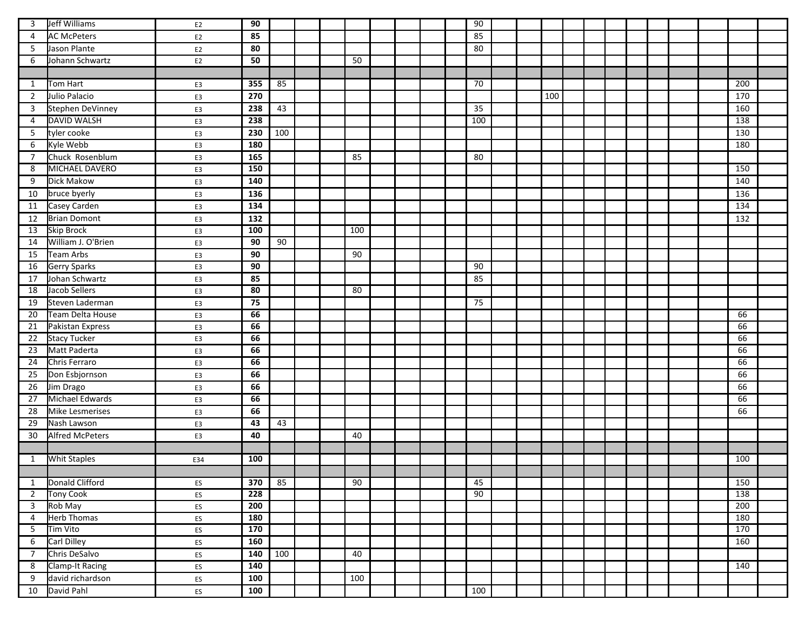| 3              | Jeff Williams          | E <sub>2</sub> | 90               |     |  |     |  |  | 90              |  |     |  |  |  |     |  |
|----------------|------------------------|----------------|------------------|-----|--|-----|--|--|-----------------|--|-----|--|--|--|-----|--|
| 4              | <b>AC McPeters</b>     | E <sub>2</sub> | 85               |     |  |     |  |  | 85              |  |     |  |  |  |     |  |
| 5              | Jason Plante           | E <sub>2</sub> | 80               |     |  |     |  |  | 80              |  |     |  |  |  |     |  |
| 6              | Johann Schwartz        | E <sub>2</sub> | 50               |     |  | 50  |  |  |                 |  |     |  |  |  |     |  |
|                |                        |                |                  |     |  |     |  |  |                 |  |     |  |  |  |     |  |
| 1              | Tom Hart               | E3             | 355              | 85  |  |     |  |  | 70              |  |     |  |  |  | 200 |  |
| $\overline{2}$ | Julio Palacio          | E3             | 270              |     |  |     |  |  |                 |  | 100 |  |  |  | 170 |  |
| 3              | Stephen DeVinney       | E3             | 238              | 43  |  |     |  |  | 35              |  |     |  |  |  | 160 |  |
| 4              | <b>DAVID WALSH</b>     | E3             | $\overline{238}$ |     |  |     |  |  | 100             |  |     |  |  |  | 138 |  |
| -5             | tyler cooke            | E3             | 230              | 100 |  |     |  |  |                 |  |     |  |  |  | 130 |  |
| 6              | Kyle Webb              | E3             | 180              |     |  |     |  |  |                 |  |     |  |  |  | 180 |  |
| 7              | Chuck Rosenblum        | E3             | 165              |     |  | 85  |  |  | 80              |  |     |  |  |  |     |  |
| 8              | MICHAEL DAVERO         | E3             | 150              |     |  |     |  |  |                 |  |     |  |  |  | 150 |  |
| 9              | Dick Makow             | E3             | 140              |     |  |     |  |  |                 |  |     |  |  |  | 140 |  |
| 10             | bruce byerly           | E3             | 136              |     |  |     |  |  |                 |  |     |  |  |  | 136 |  |
| 11             | Casey Carden           | E3             | 134              |     |  |     |  |  |                 |  |     |  |  |  | 134 |  |
| 12             | <b>Brian Domont</b>    | E3             | 132              |     |  |     |  |  |                 |  |     |  |  |  | 132 |  |
| 13             | <b>Skip Brock</b>      | E3             | 100              |     |  | 100 |  |  |                 |  |     |  |  |  |     |  |
| 14             | William J. O'Brien     | E3             | 90               | 90  |  |     |  |  |                 |  |     |  |  |  |     |  |
| 15             | Team Arbs              | E3             | 90               |     |  | 90  |  |  |                 |  |     |  |  |  |     |  |
| 16             | <b>Gerry Sparks</b>    | E3             | 90               |     |  |     |  |  | $\overline{90}$ |  |     |  |  |  |     |  |
| 17             | Johan Schwartz         | E3             | 85               |     |  |     |  |  | 85              |  |     |  |  |  |     |  |
| 18             | Jacob Sellers          | E3             | 80               |     |  | 80  |  |  |                 |  |     |  |  |  |     |  |
| 19             | Steven Laderman        | E3             | 75               |     |  |     |  |  | 75              |  |     |  |  |  |     |  |
| 20             | Team Delta House       | E3             | 66               |     |  |     |  |  |                 |  |     |  |  |  | 66  |  |
| 21             | Pakistan Express       | E3             | 66               |     |  |     |  |  |                 |  |     |  |  |  | 66  |  |
| 22             | <b>Stacy Tucker</b>    | E3             | 66               |     |  |     |  |  |                 |  |     |  |  |  | 66  |  |
| 23             | Matt Paderta           | E3             | 66               |     |  |     |  |  |                 |  |     |  |  |  | 66  |  |
| 24             | Chris Ferraro          | E3             | 66               |     |  |     |  |  |                 |  |     |  |  |  | 66  |  |
| 25             | Don Esbjornson         | E3             | 66               |     |  |     |  |  |                 |  |     |  |  |  | 66  |  |
| 26             | Jim Drago              | E3             | 66               |     |  |     |  |  |                 |  |     |  |  |  | 66  |  |
| 27             | Michael Edwards        | E3             | 66               |     |  |     |  |  |                 |  |     |  |  |  | 66  |  |
| 28             | <b>Mike Lesmerises</b> | E3             | 66               |     |  |     |  |  |                 |  |     |  |  |  | 66  |  |
| 29             | Nash Lawson            | E3             | 43               | 43  |  |     |  |  |                 |  |     |  |  |  |     |  |
| 30             | <b>Alfred McPeters</b> | E3             | 40               |     |  | 40  |  |  |                 |  |     |  |  |  |     |  |
|                |                        |                |                  |     |  |     |  |  |                 |  |     |  |  |  |     |  |
| $\mathbf{1}$   | <b>Whit Staples</b>    | E34            | 100              |     |  |     |  |  |                 |  |     |  |  |  | 100 |  |
|                |                        |                |                  |     |  |     |  |  |                 |  |     |  |  |  |     |  |
| 1              | Donald Clifford        | ES             | 370              | 85  |  | 90  |  |  | 45              |  |     |  |  |  | 150 |  |
| $\overline{2}$ | <b>Tony Cook</b>       | ES             | 228              |     |  |     |  |  | 90              |  |     |  |  |  | 138 |  |
| $\mathbf{3}$   | Rob May                | ES             | $\overline{200}$ |     |  |     |  |  |                 |  |     |  |  |  | 200 |  |
| $\overline{4}$ | <b>Herb Thomas</b>     | ES             | <b>180</b>       |     |  |     |  |  |                 |  |     |  |  |  | 180 |  |
| 5              | Tim Vito               | ES             | 170              |     |  |     |  |  |                 |  |     |  |  |  | 170 |  |
| 6              | Carl Dilley            | ES             | 160              |     |  |     |  |  |                 |  |     |  |  |  | 160 |  |
| $\overline{7}$ | Chris DeSalvo          | ES             | 140              | 100 |  | 40  |  |  |                 |  |     |  |  |  |     |  |
| 8              | <b>Clamp-It Racing</b> | ES             | 140              |     |  |     |  |  |                 |  |     |  |  |  | 140 |  |
| 9              | david richardson       | ES             | 100              |     |  | 100 |  |  |                 |  |     |  |  |  |     |  |
| 10             | David Pahl             | ES             | 100              |     |  |     |  |  | 100             |  |     |  |  |  |     |  |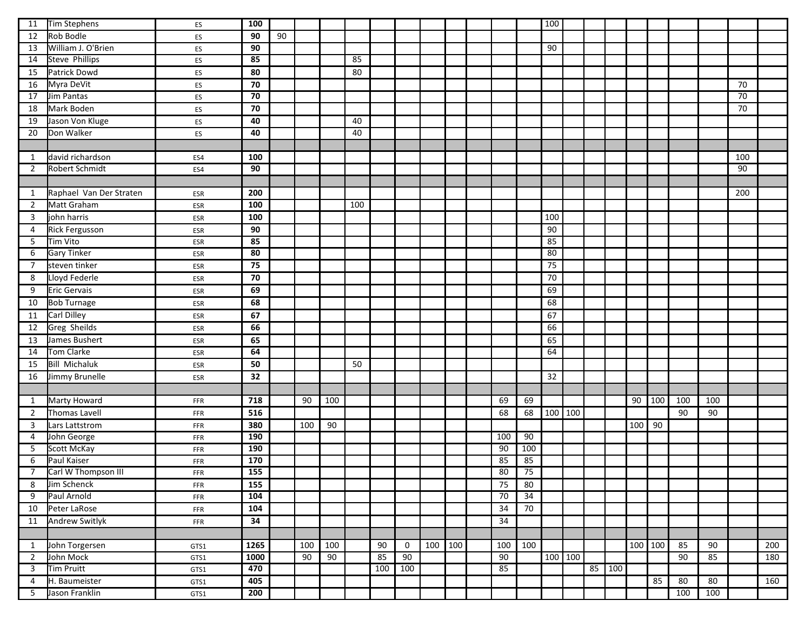| 11             | Tim Stephens            | ES         | 100             |    |     |     |     |     |             |     |     |     |                 | 100       |          |     |         |     |     |     |     |
|----------------|-------------------------|------------|-----------------|----|-----|-----|-----|-----|-------------|-----|-----|-----|-----------------|-----------|----------|-----|---------|-----|-----|-----|-----|
| 12             | Rob Bodle               | ES         | 90              | 90 |     |     |     |     |             |     |     |     |                 |           |          |     |         |     |     |     |     |
| 13             | William J. O'Brien      | ES         | $\overline{90}$ |    |     |     |     |     |             |     |     |     |                 | 90        |          |     |         |     |     |     |     |
| 14             | <b>Steve Phillips</b>   | ES         | 85              |    |     |     | 85  |     |             |     |     |     |                 |           |          |     |         |     |     |     |     |
| 15             | Patrick Dowd            | ES         | 80              |    |     |     | 80  |     |             |     |     |     |                 |           |          |     |         |     |     |     |     |
| 16             | Myra DeVit              | ES         | 70              |    |     |     |     |     |             |     |     |     |                 |           |          |     |         |     |     | 70  |     |
| 17             | Jim Pantas              | ES         | 70              |    |     |     |     |     |             |     |     |     |                 |           |          |     |         |     |     | 70  |     |
| 18             | Mark Boden              | ES         | 70              |    |     |     |     |     |             |     |     |     |                 |           |          |     |         |     |     | 70  |     |
| 19             | Jason Von Kluge         | ES         | 40              |    |     |     | 40  |     |             |     |     |     |                 |           |          |     |         |     |     |     |     |
| 20             | Don Walker              | ES         | 40              |    |     |     | 40  |     |             |     |     |     |                 |           |          |     |         |     |     |     |     |
|                |                         |            |                 |    |     |     |     |     |             |     |     |     |                 |           |          |     |         |     |     |     |     |
| 1              | david richardson        | ES4        | 100             |    |     |     |     |     |             |     |     |     |                 |           |          |     |         |     |     | 100 |     |
| $\overline{2}$ | Robert Schmidt          | ES4        | 90              |    |     |     |     |     |             |     |     |     |                 |           |          |     |         |     |     | 90  |     |
|                |                         |            |                 |    |     |     |     |     |             |     |     |     |                 |           |          |     |         |     |     |     |     |
| 1              | Raphael Van Der Straten | <b>ESR</b> | 200             |    |     |     |     |     |             |     |     |     |                 |           |          |     |         |     |     | 200 |     |
| $\overline{2}$ | Matt Graham             | ESR        | 100             |    |     |     | 100 |     |             |     |     |     |                 |           |          |     |         |     |     |     |     |
| 3              | john harris             | ESR        | 100             |    |     |     |     |     |             |     |     |     |                 | 100       |          |     |         |     |     |     |     |
| 4              | Rick Fergusson          | ESR        | 90              |    |     |     |     |     |             |     |     |     |                 | 90        |          |     |         |     |     |     |     |
| 5              | Tim Vito                | ESR        | 85              |    |     |     |     |     |             |     |     |     |                 | 85        |          |     |         |     |     |     |     |
| 6              | <b>Gary Tinker</b>      | ESR        | 80              |    |     |     |     |     |             |     |     |     |                 | 80        |          |     |         |     |     |     |     |
| $\overline{7}$ | steven tinker           | ESR        | 75              |    |     |     |     |     |             |     |     |     |                 | 75        |          |     |         |     |     |     |     |
| 8              | Lloyd Federle           | ESR        | 70              |    |     |     |     |     |             |     |     |     |                 | $70\,$    |          |     |         |     |     |     |     |
| 9              | <b>Eric Gervais</b>     | ESR        | 69              |    |     |     |     |     |             |     |     |     |                 | 69        |          |     |         |     |     |     |     |
| 10             | <b>Bob Turnage</b>      | ESR        | 68              |    |     |     |     |     |             |     |     |     |                 | 68        |          |     |         |     |     |     |     |
| 11             | <b>Carl Dilley</b>      | ESR        | 67              |    |     |     |     |     |             |     |     |     |                 | 67        |          |     |         |     |     |     |     |
| 12             | Greg Sheilds            | ESR        | 66              |    |     |     |     |     |             |     |     |     |                 | 66        |          |     |         |     |     |     |     |
| 13             | James Bushert           | ESR        | 65              |    |     |     |     |     |             |     |     |     |                 | 65        |          |     |         |     |     |     |     |
| 14             | Tom Clarke              | ESR        | 64              |    |     |     |     |     |             |     |     |     |                 | 64        |          |     |         |     |     |     |     |
| 15             | <b>Bill Michaluk</b>    | ESR        | 50              |    |     |     | 50  |     |             |     |     |     |                 |           |          |     |         |     |     |     |     |
| 16             | Jimmy Brunelle          | ESR        | 32              |    |     |     |     |     |             |     |     |     |                 | 32        |          |     |         |     |     |     |     |
|                |                         |            |                 |    |     |     |     |     |             |     |     |     |                 |           |          |     |         |     |     |     |     |
| 1              | Marty Howard            | FFR        | 718             |    | 90  | 100 |     |     |             |     |     | 69  | 69              |           |          | 90  | 100     | 100 | 100 |     |     |
| $\overline{2}$ | Thomas Lavell           | FFR        | 516             |    |     |     |     |     |             |     |     | 68  | 68              | $100$ 100 |          |     |         | 90  | 90  |     |     |
| 3              | Lars Lattstrom          | FFR        | 380             |    | 100 | 90  |     |     |             |     |     |     |                 |           |          | 100 | 90      |     |     |     |     |
| 4              | John George             | FFR        | 190             |    |     |     |     |     |             |     |     | 100 | 90              |           |          |     |         |     |     |     |     |
| 5              | Scott McKay             | FFR        | 190             |    |     |     |     |     |             |     |     | 90  | 100             |           |          |     |         |     |     |     |     |
| 6              | Paul Kaiser             | FFR        | 170             |    |     |     |     |     |             |     |     | 85  | 85              |           |          |     |         |     |     |     |     |
| $\overline{7}$ | Carl W Thompson III     | FFR        | 155             |    |     |     |     |     |             |     |     | 80  | 75              |           |          |     |         |     |     |     |     |
| 8              | Jim Schenck             | FFR        | 155             |    |     |     |     |     |             |     |     | 75  | 80              |           |          |     |         |     |     |     |     |
| 9              | Paul Arnold             | FFR        | 104             |    |     |     |     |     |             |     |     | 70  | $\overline{34}$ |           |          |     |         |     |     |     |     |
| 10             | Peter LaRose            | FFR        | 104             |    |     |     |     |     |             |     |     | 34  | 70              |           |          |     |         |     |     |     |     |
| 11             | Andrew Switlyk          | FFR        | 34              |    |     |     |     |     |             |     |     | 34  |                 |           |          |     |         |     |     |     |     |
|                |                         |            |                 |    |     |     |     |     |             |     |     |     |                 |           |          |     |         |     |     |     |     |
| 1              | John Torgersen          | GTS1       | 1265            |    | 100 | 100 |     | 90  | $\mathbf 0$ | 100 | 100 | 100 | 100             |           |          |     | 100 100 | 85  | 90  |     | 200 |
| 2              | John Mock               | GTS1       | 1000            |    | 90  | 90  |     | 85  | 90          |     |     | 90  |                 | 100 100   |          |     |         | 90  | 85  |     | 180 |
| 3              | Tim Pruitt              | GTS1       | 470             |    |     |     |     | 100 | 100         |     |     | 85  |                 |           | 85   100 |     |         |     |     |     |     |
| 4              | H. Baumeister           | GTS1       | 405             |    |     |     |     |     |             |     |     |     |                 |           |          |     | 85      | 80  | 80  |     | 160 |
| 5              | Jason Franklin          | GTS1       | 200             |    |     |     |     |     |             |     |     |     |                 |           |          |     |         | 100 | 100 |     |     |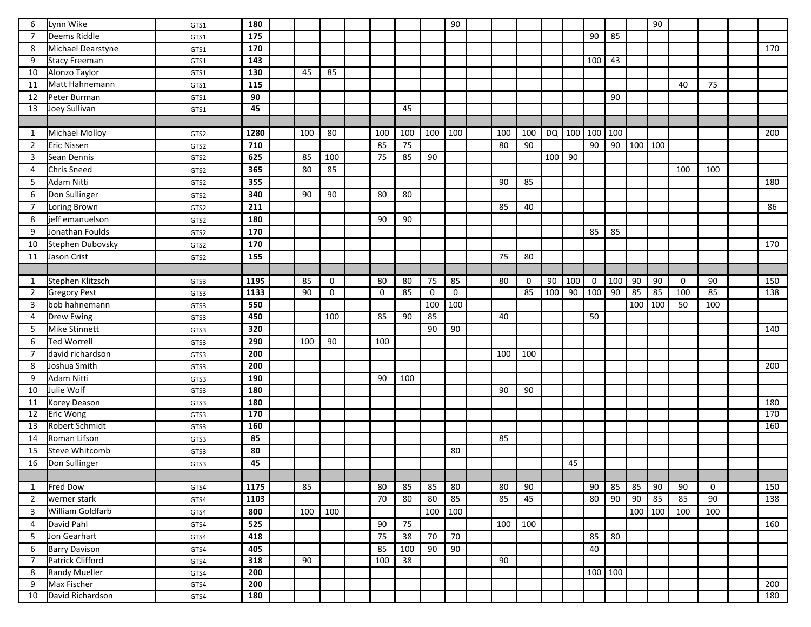| 6              | Lynn Wike             | GTS1 | 180        |     |     |              |                 |             | 90          |                 |             |          |                |           |     |     | 90  |             |             |     |
|----------------|-----------------------|------|------------|-----|-----|--------------|-----------------|-------------|-------------|-----------------|-------------|----------|----------------|-----------|-----|-----|-----|-------------|-------------|-----|
| $\overline{7}$ | Deems Riddle          | GTS1 | 175        |     |     |              |                 |             |             |                 |             |          |                | 90        | 85  |     |     |             |             |     |
| 8              | Michael Dearstyne     | GTS1 | 170        |     |     |              |                 |             |             |                 |             |          |                |           |     |     |     |             |             | 170 |
| 9              | <b>Stacy Freeman</b>  | GTS1 | 143        |     |     |              |                 |             |             |                 |             |          |                | 100       | 43  |     |     |             |             |     |
| 10             | Alonzo Taylor         | GTS1 | 130        | 45  | 85  |              |                 |             |             |                 |             |          |                |           |     |     |     |             |             |     |
| 11             | Matt Hahnemann        | GTS1 | 115        |     |     |              |                 |             |             |                 |             |          |                |           |     |     |     | 40          | 75          |     |
| 12             | Peter Burman          | GTS1 | 90         |     |     |              |                 |             |             |                 |             |          |                |           | 90  |     |     |             |             |     |
| 13             | Joey Sullivan         | GTS1 | 45         |     |     |              | 45              |             |             |                 |             |          |                |           |     |     |     |             |             |     |
|                |                       |      |            |     |     |              |                 |             |             |                 |             |          |                |           |     |     |     |             |             |     |
| 1              | Michael Molloy        | GTS2 | 1280       | 100 | 80  | 100          | 100             | 100         | 100         | 100             | 100         |          | DQ 100 100 100 |           |     |     |     |             |             | 200 |
| $\overline{2}$ | <b>Eric Nissen</b>    | GTS2 | 710        |     |     | 85           | 75              |             |             | 80              | 90          |          |                | 90        | 90  | 100 | 100 |             |             |     |
| 3              | Sean Dennis           | GTS2 | 625        | 85  | 100 | 75           | 85              | 90          |             |                 |             | $100$ 90 |                |           |     |     |     |             |             |     |
| 4              | <b>Chris Sneed</b>    | GTS2 | 365        | 80  | 85  |              |                 |             |             |                 |             |          |                |           |     |     |     | 100         | 100         |     |
| 5              | Adam Nitti            | GTS2 | 355        |     |     |              |                 |             |             | 90              | 85          |          |                |           |     |     |     |             |             | 180 |
| 6              | Don Sullinger         | GTS2 | 340        | 90  | 90  | 80           | 80              |             |             |                 |             |          |                |           |     |     |     |             |             |     |
| $\overline{7}$ | Loring Brown          | GTS2 | 211        |     |     |              |                 |             |             | 85              | 40          |          |                |           |     |     |     |             |             | 86  |
| 8              | jeff emanuelson       | GTS2 | 180        |     |     | 90           | 90              |             |             |                 |             |          |                |           |     |     |     |             |             |     |
| 9              | Jonathan Foulds       | GTS2 | 170        |     |     |              |                 |             |             |                 |             |          |                | 85        | 85  |     |     |             |             |     |
| 10             | Stephen Dubovsky      | GTS2 | 170        |     |     |              |                 |             |             |                 |             |          |                |           |     |     |     |             |             | 170 |
| 11             | Jason Crist           | GTS2 | 155        |     |     |              |                 |             |             | 75              | 80          |          |                |           |     |     |     |             |             |     |
|                |                       |      |            |     |     |              |                 |             |             |                 |             |          |                |           |     |     |     |             |             |     |
| 1              | Stephen Klitzsch      | GTS3 | 1195       | 85  | 0   | 80           | 80              | 75          | 85          | 80              | $\mathbf 0$ | 90       | 100            | 0         | 100 | 90  | 90  | $\mathbf 0$ | 90          | 150 |
| $\overline{2}$ | <b>Gregory Pest</b>   | GTS3 | 1133       | 90  | 0   | $\mathbf{0}$ | 85              | $\mathbf 0$ | $\mathbf 0$ |                 | 85          | 100      | 90             | 100       | 90  | 85  | 85  | 100         | 85          | 138 |
| 3              | bob hahnemann         | GTS3 | 550        |     |     |              |                 | 100         | 100         |                 |             |          |                |           |     | 100 | 100 | 50          | 100         |     |
| 4              | <b>Drew Ewing</b>     | GTS3 | 450        |     | 100 | 85           | 90              | 85          |             | 40              |             |          |                | 50        |     |     |     |             |             |     |
| 5              | Mike Stinnett         | GTS3 | 320        |     |     |              |                 | 90          | 90          |                 |             |          |                |           |     |     |     |             |             | 140 |
| 6              | <b>Ted Worrell</b>    | GTS3 | 290        | 100 | 90  | 100          |                 |             |             |                 |             |          |                |           |     |     |     |             |             |     |
| $\overline{7}$ | david richardson      | GTS3 | 200        |     |     |              |                 |             |             | 100             | 100         |          |                |           |     |     |     |             |             |     |
| 8              | Joshua Smith          | GTS3 | 200        |     |     |              |                 |             |             |                 |             |          |                |           |     |     |     |             |             | 200 |
| 9              | Adam Nitti            | GTS3 | 190        |     |     | 90           | 100             |             |             |                 |             |          |                |           |     |     |     |             |             |     |
| 10             | Julie Wolf            | GTS3 | 180        |     |     |              |                 |             |             | 90              | 90          |          |                |           |     |     |     |             |             |     |
| 11             | Korey Deason          | GTS3 | 180        |     |     |              |                 |             |             |                 |             |          |                |           |     |     |     |             |             | 180 |
| 12             | Eric Wong             | GTS3 | 170        |     |     |              |                 |             |             |                 |             |          |                |           |     |     |     |             |             | 170 |
| 13             | Robert Schmidt        | GTS3 | 160        |     |     |              |                 |             |             |                 |             |          |                |           |     |     |     |             |             | 160 |
| 14             | Roman Lifson          | GTS3 | 85         |     |     |              |                 |             |             | 85              |             |          |                |           |     |     |     |             |             |     |
| 15             | <b>Steve Whitcomb</b> | GTS3 | 80         |     |     |              |                 |             | 80          |                 |             |          |                |           |     |     |     |             |             |     |
| 16             | Don Sullinger         | GTS3 | 45         |     |     |              |                 |             |             |                 |             |          | 45             |           |     |     |     |             |             |     |
|                |                       |      |            |     |     |              |                 |             |             |                 |             |          |                |           |     |     |     |             |             |     |
| 1              | <b>Fred Dow</b>       | GTS4 | 1175       | 85  |     | 80           | 85              | 85          | 80          | 80              | 90          |          |                | 90        | 85  | 85  | 90  | 90          | $\mathbf 0$ | 150 |
| $\overline{2}$ | werner stark          | GTS4 | 1103       |     |     | 70           | 80              | 80          | 85          | 85              | 45          |          |                | 80        | 90  | 90  | 85  | 85          | 90          | 138 |
| 3              | William Goldfarb      | GTS4 | 800        | 100 | 100 |              |                 | 100         | 100         |                 |             |          |                |           |     | 100 | 100 | 100         | 100         |     |
| 4              | David Pahl            | GTS4 | 525        |     |     | 90           | 75              |             |             | 100             | 100         |          |                |           |     |     |     |             |             | 160 |
| 5              | Jon Gearhart          | GTS4 | 418        |     |     | 75           | 38              | 70          | 70          |                 |             |          |                | 85        | 80  |     |     |             |             |     |
| 6              | <b>Barry Davison</b>  | GTS4 | 405        |     |     | 85           | 100             | 90          | 90          |                 |             |          |                | 40        |     |     |     |             |             |     |
| 7              | Patrick Clifford      | GTS4 | 318        | 90  |     | 100          | $\overline{38}$ |             |             | $\overline{90}$ |             |          |                |           |     |     |     |             |             |     |
| 8              | Randy Mueller         | GTS4 | 200        |     |     |              |                 |             |             |                 |             |          |                | $100$ 100 |     |     |     |             |             |     |
| 9              | Max Fischer           | GTS4 | 200        |     |     |              |                 |             |             |                 |             |          |                |           |     |     |     |             |             | 200 |
| 10             | David Richardson      | GTS4 | <b>180</b> |     |     |              |                 |             |             |                 |             |          |                |           |     |     |     |             |             | 180 |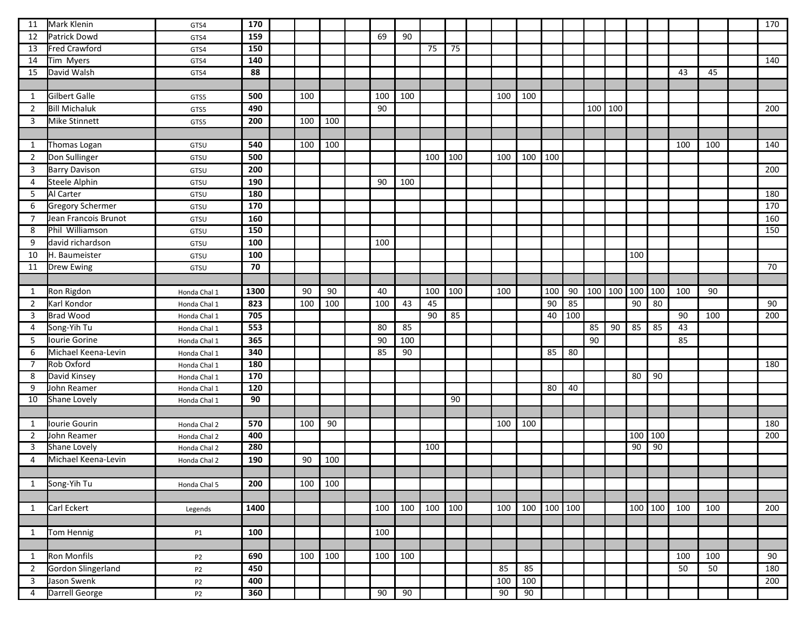| 11             | Mark Klenin                         | GTS4                             | 170  |     |     |     |     |     |     |     |     |         |               |           |             |     |         |     |     | 170 |
|----------------|-------------------------------------|----------------------------------|------|-----|-----|-----|-----|-----|-----|-----|-----|---------|---------------|-----------|-------------|-----|---------|-----|-----|-----|
| 12             | Patrick Dowd                        | GTS4                             | 159  |     |     | 69  | 90  |     |     |     |     |         |               |           |             |     |         |     |     |     |
| 13             | <b>Fred Crawford</b>                | GTS4                             | 150  |     |     |     |     | 75  | 75  |     |     |         |               |           |             |     |         |     |     |     |
| 14             | Tim Myers                           | GTS4                             | 140  |     |     |     |     |     |     |     |     |         |               |           |             |     |         |     |     | 140 |
| 15             | David Walsh                         | GTS4                             | 88   |     |     |     |     |     |     |     |     |         |               |           |             |     |         | 43  | 45  |     |
|                |                                     |                                  |      |     |     |     |     |     |     |     |     |         |               |           |             |     |         |     |     |     |
| 1              | <b>Gilbert Galle</b>                | GTS5                             | 500  | 100 |     | 100 | 100 |     |     | 100 | 100 |         |               |           |             |     |         |     |     |     |
| 2              | <b>Bill Michaluk</b>                | GTS5                             | 490  |     |     | 90  |     |     |     |     |     |         |               | 100   100 |             |     |         |     |     | 200 |
| 3              | Mike Stinnett                       | GTS5                             | 200  | 100 | 100 |     |     |     |     |     |     |         |               |           |             |     |         |     |     |     |
|                |                                     |                                  |      |     |     |     |     |     |     |     |     |         |               |           |             |     |         |     |     |     |
| 1              | Thomas Logan                        | GTSU                             | 540  | 100 | 100 |     |     |     |     |     |     |         |               |           |             |     |         | 100 | 100 | 140 |
| 2              | Don Sullinger                       | GTSU                             | 500  |     |     |     |     | 100 | 100 | 100 | 100 | 100     |               |           |             |     |         |     |     |     |
| 3              | <b>Barry Davison</b>                | GTSU                             | 200  |     |     |     |     |     |     |     |     |         |               |           |             |     |         |     |     | 200 |
| 4              | Steele Alphin                       | GTSU                             | 190  |     |     | 90  | 100 |     |     |     |     |         |               |           |             |     |         |     |     |     |
| 5              | Al Carter                           | GTSU                             | 180  |     |     |     |     |     |     |     |     |         |               |           |             |     |         |     |     | 180 |
| 6              | <b>Gregory Schermer</b>             |                                  | 170  |     |     |     |     |     |     |     |     |         |               |           |             |     |         |     |     | 170 |
| 7              | Jean Francois Brunot                | GTSU                             | 160  |     |     |     |     |     |     |     |     |         |               |           |             |     |         |     |     | 160 |
|                |                                     | GTSU                             | 150  |     |     |     |     |     |     |     |     |         |               |           |             |     |         |     |     | 150 |
| 8              | Phil Williamson<br>david richardson | GTSU                             | 100  |     |     | 100 |     |     |     |     |     |         |               |           |             |     |         |     |     |     |
| 9              |                                     | GTSU                             |      |     |     |     |     |     |     |     |     |         |               |           |             |     |         |     |     |     |
| 10             | H. Baumeister                       | GTSU                             | 100  |     |     |     |     |     |     |     |     |         |               |           |             | 100 |         |     |     |     |
| 11             | <b>Drew Ewing</b>                   | GTSU                             | 70   |     |     |     |     |     |     |     |     |         |               |           |             |     |         |     |     | 70  |
|                |                                     |                                  |      |     |     |     |     |     |     |     |     |         |               |           |             |     |         |     |     |     |
| 1              | Ron Rigdon                          | Honda Chal 1                     | 1300 | 90  | 90  | 40  |     | 100 | 100 | 100 |     | 100     | 90            |           | 100 100 100 |     | 100     | 100 | 90  |     |
| $\overline{2}$ | Karl Kondor                         | Honda Chal 1                     | 823  | 100 | 100 | 100 | 43  | 45  |     |     |     | 90      | 85            |           |             | 90  | 80      |     |     | 90  |
| 3              | <b>Brad Wood</b>                    | Honda Chal 1                     | 705  |     |     |     |     | 90  | 85  |     |     | 40      | $ 100\rangle$ |           |             |     |         | 90  | 100 | 200 |
| 4              | Song-Yih Tu                         | Honda Chal 1                     | 553  |     |     | 80  | 85  |     |     |     |     |         |               | 85        | 90          | 85  | 85      | 43  |     |     |
| -5             | Iourie Gorine                       | Honda Chal 1                     | 365  |     |     | 90  | 100 |     |     |     |     |         |               | 90        |             |     |         | 85  |     |     |
| 6              | Michael Keena-Levin                 | Honda Chal 1                     | 340  |     |     | 85  | 90  |     |     |     |     | 85      | 80            |           |             |     |         |     |     |     |
| $\overline{7}$ | Rob Oxford                          | Honda Chal 1                     | 180  |     |     |     |     |     |     |     |     |         |               |           |             |     |         |     |     | 180 |
| 8              | David Kinsey                        | Honda Chal 1                     | 170  |     |     |     |     |     |     |     |     |         |               |           |             | 80  | 90      |     |     |     |
| 9              | John Reamer                         | Honda Chal 1                     | 120  |     |     |     |     |     |     |     |     | 80      | 40            |           |             |     |         |     |     |     |
| 10             | Shane Lovely                        | Honda Chal 1                     | 90   |     |     |     |     |     | 90  |     |     |         |               |           |             |     |         |     |     |     |
|                |                                     |                                  |      |     |     |     |     |     |     |     |     |         |               |           |             |     |         |     |     |     |
| 1              | Iourie Gourin                       | Honda Chal 2                     | 570  | 100 | 90  |     |     |     |     | 100 | 100 |         |               |           |             |     |         |     |     | 180 |
| $\overline{2}$ | John Reamer                         | Honda Chal 2                     | 400  |     |     |     |     |     |     |     |     |         |               |           |             | 100 | 100     |     |     | 200 |
| 3              | Shane Lovely                        | Honda Chal 2                     | 280  |     |     |     |     | 100 |     |     |     |         |               |           |             | 90  | 90      |     |     |     |
| 4              | Michael Keena-Levin                 | Honda Chal 2                     | 190  | 90  | 100 |     |     |     |     |     |     |         |               |           |             |     |         |     |     |     |
|                |                                     |                                  |      |     |     |     |     |     |     |     |     |         |               |           |             |     |         |     |     |     |
| 1              | Song-Yih Tu                         | Honda Chal 5                     | 200  | 100 | 100 |     |     |     |     |     |     |         |               |           |             |     |         |     |     |     |
|                |                                     |                                  |      |     |     |     |     |     |     |     |     |         |               |           |             |     |         |     |     |     |
| 1              | Carl Eckert                         | Legends                          | 1400 |     |     | 100 | 100 | 100 | 100 | 100 | 100 | 100 100 |               |           |             |     | 100 100 | 100 | 100 | 200 |
|                |                                     |                                  |      |     |     |     |     |     |     |     |     |         |               |           |             |     |         |     |     |     |
| 1              | Tom Hennig                          | P1                               | 100  |     |     | 100 |     |     |     |     |     |         |               |           |             |     |         |     |     |     |
|                |                                     |                                  |      |     |     |     |     |     |     |     |     |         |               |           |             |     |         |     |     |     |
| 1              | Ron Monfils                         | P <sub>2</sub>                   | 690  | 100 | 100 | 100 | 100 |     |     |     |     |         |               |           |             |     |         | 100 | 100 | 90  |
| $\overline{2}$ | <b>Gordon Slingerland</b>           | P <sub>2</sub>                   | 450  |     |     |     |     |     |     | 85  | 85  |         |               |           |             |     |         | 50  | 50  | 180 |
| 3              | Jason Swenk                         |                                  | 400  |     |     |     |     |     |     | 100 | 100 |         |               |           |             |     |         |     |     | 200 |
| 4              | Darrell George                      | P <sub>2</sub><br>P <sub>2</sub> | 360  |     |     | 90  | 90  |     |     | 90  | 90  |         |               |           |             |     |         |     |     |     |
|                |                                     |                                  |      |     |     |     |     |     |     |     |     |         |               |           |             |     |         |     |     |     |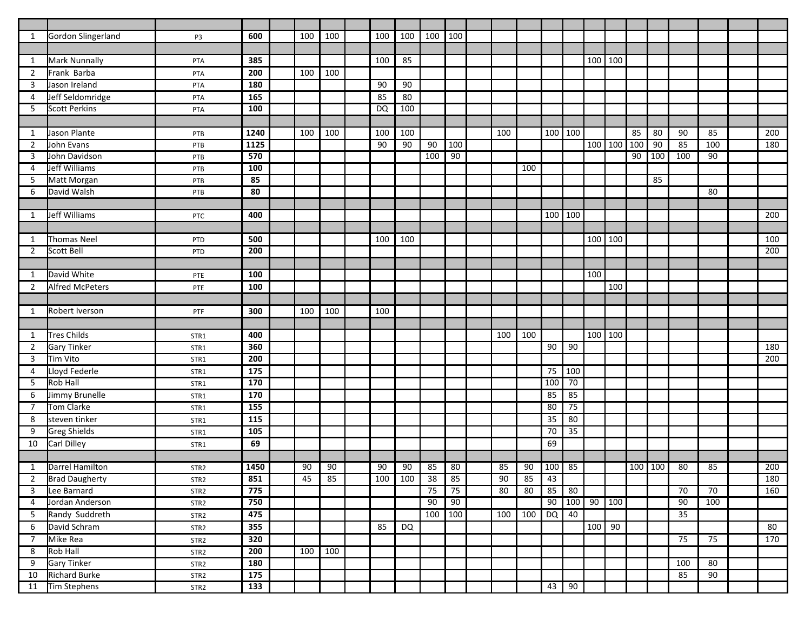| $\mathbf{1}$   | Gordon Slingerland     | P3               | 600              | 100 | 100 | 100 | 100             | 100 | 100             |     |     |               |                 |            |             |     |     |                 |                 |     |
|----------------|------------------------|------------------|------------------|-----|-----|-----|-----------------|-----|-----------------|-----|-----|---------------|-----------------|------------|-------------|-----|-----|-----------------|-----------------|-----|
|                |                        |                  |                  |     |     |     |                 |     |                 |     |     |               |                 |            |             |     |     |                 |                 |     |
| 1              | <b>Mark Nunnally</b>   | PTA              | 385              |     |     | 100 | 85              |     |                 |     |     |               |                 |            | $100$   100 |     |     |                 |                 |     |
| 2              | Frank Barba            | PTA              | 200              | 100 | 100 |     |                 |     |                 |     |     |               |                 |            |             |     |     |                 |                 |     |
| 3              | Jason Ireland          | PTA              | 180              |     |     | 90  | $\overline{90}$ |     |                 |     |     |               |                 |            |             |     |     |                 |                 |     |
| 4              | Jeff Seldomridge       | PTA              | 165              |     |     | 85  | 80              |     |                 |     |     |               |                 |            |             |     |     |                 |                 |     |
| 5              | <b>Scott Perkins</b>   | PTA              | 100              |     |     | DQ  | 100             |     |                 |     |     |               |                 |            |             |     |     |                 |                 |     |
|                |                        |                  |                  |     |     |     |                 |     |                 |     |     |               |                 |            |             |     |     |                 |                 |     |
| 1              | Jason Plante           | PTB              | 1240             | 100 | 100 | 100 | 100             |     |                 | 100 |     | 100   100     |                 |            |             | 85  | 80  | 90              | 85              | 200 |
| $\overline{2}$ | John Evans             | PTB              | 1125             |     |     | 90  | 90              | 90  | 100             |     |     |               |                 |            | 100   100   | 100 | 90  | 85              | 100             | 180 |
| 3              | John Davidson          | PTB              | 570              |     |     |     |                 | 100 | $\overline{90}$ |     |     |               |                 |            |             | 90  | 100 | 100             | 90              |     |
| 4              | Jeff Williams          | PTB              | 100              |     |     |     |                 |     |                 |     | 100 |               |                 |            |             |     |     |                 |                 |     |
| 5              | Matt Morgan            | PTB              | 85               |     |     |     |                 |     |                 |     |     |               |                 |            |             |     | 85  |                 |                 |     |
| 6              | David Walsh            | PTB              | 80               |     |     |     |                 |     |                 |     |     |               |                 |            |             |     |     |                 | 80              |     |
|                |                        |                  |                  |     |     |     |                 |     |                 |     |     |               |                 |            |             |     |     |                 |                 |     |
| 1              | Jeff Williams          | PTC              | 400              |     |     |     |                 |     |                 |     |     | $100$   $100$ |                 |            |             |     |     |                 |                 | 200 |
|                |                        |                  |                  |     |     |     |                 |     |                 |     |     |               |                 |            |             |     |     |                 |                 |     |
| 1              | <b>Thomas Neel</b>     | PTD              | 500              |     |     | 100 | 100             |     |                 |     |     |               |                 | $100$ 100  |             |     |     |                 |                 | 100 |
| $\overline{2}$ | <b>Scott Bell</b>      | PTD              | 200              |     |     |     |                 |     |                 |     |     |               |                 |            |             |     |     |                 |                 | 200 |
|                |                        |                  |                  |     |     |     |                 |     |                 |     |     |               |                 |            |             |     |     |                 |                 |     |
| 1              | David White            | PTE              | 100              |     |     |     |                 |     |                 |     |     |               |                 | 100        |             |     |     |                 |                 |     |
| 2              | <b>Alfred McPeters</b> | PTE              | 100              |     |     |     |                 |     |                 |     |     |               |                 |            | 100         |     |     |                 |                 |     |
|                |                        |                  |                  |     |     |     |                 |     |                 |     |     |               |                 |            |             |     |     |                 |                 |     |
| 1              | Robert Iverson         | PTF              | 300              | 100 | 100 | 100 |                 |     |                 |     |     |               |                 |            |             |     |     |                 |                 |     |
|                |                        |                  |                  |     |     |     |                 |     |                 |     |     |               |                 |            |             |     |     |                 |                 |     |
| 1              | Tres Childs            | STR1             | 400              |     |     |     |                 |     |                 | 100 | 100 |               |                 | 100   100  |             |     |     |                 |                 |     |
| $\overline{2}$ | <b>Gary Tinker</b>     | STR1             | 360              |     |     |     |                 |     |                 |     |     | 90            | 90              |            |             |     |     |                 |                 | 180 |
| 3              | Tim Vito               | STR1             | 200              |     |     |     |                 |     |                 |     |     |               |                 |            |             |     |     |                 |                 | 200 |
| 4              | Lloyd Federle          | STR1             | 175              |     |     |     |                 |     |                 |     |     | 75            | 100             |            |             |     |     |                 |                 |     |
| 5              | Rob Hall               | STR1             | 170              |     |     |     |                 |     |                 |     |     | 100           | 70              |            |             |     |     |                 |                 |     |
| 6              | Jimmy Brunelle         | STR1             | 170              |     |     |     |                 |     |                 |     |     | 85            | 85              |            |             |     |     |                 |                 |     |
| $\overline{7}$ | <b>Tom Clarke</b>      | STR1             | 155              |     |     |     |                 |     |                 |     |     | 80            | 75              |            |             |     |     |                 |                 |     |
| 8              | steven tinker          | STR1             | 115              |     |     |     |                 |     |                 |     |     | 35            | 80              |            |             |     |     |                 |                 |     |
| 9              | <b>Greg Shields</b>    | STR1             | 105              |     |     |     |                 |     |                 |     |     | 70            | $\overline{35}$ |            |             |     |     |                 |                 |     |
| 10             | Carl Dilley            | STR1             | 69               |     |     |     |                 |     |                 |     |     | 69            |                 |            |             |     |     |                 |                 |     |
|                |                        |                  |                  |     |     |     |                 |     |                 |     |     |               |                 |            |             |     |     |                 |                 |     |
| 1              | Darrel Hamilton        | STR <sub>2</sub> | 1450             | 90  | 90  | 90  | 90              | 85  | 80              | 85  | 90  | 100           | 85              |            |             | 100 | 100 | 80              | 85              | 200 |
| 2              | <b>Brad Daugherty</b>  | STR <sub>2</sub> | 851              | 45  | 85  | 100 | 100             | 38  | 85              | 90  | 85  | 43            |                 |            |             |     |     |                 |                 | 180 |
| $\overline{3}$ | Lee Barnard            | STR <sub>2</sub> | 775              |     |     |     |                 | 75  | 75              | 80  | 80  | 85            | 80              |            |             |     |     | 70              | 70              | 160 |
| 4              | Jordan Anderson        | STR <sub>2</sub> | 750              |     |     |     |                 | 90  | 90              |     |     | 90            |                 | 100 90 100 |             |     |     | $\overline{90}$ | 100             |     |
| 5              | Randy Suddreth         | STR <sub>2</sub> | 475              |     |     |     |                 | 100 | 100             | 100 | 100 | DQ            | 40              |            |             |     |     | 35              |                 |     |
| 6              | David Schram           | STR <sub>2</sub> | 355              |     |     | 85  | DQ              |     |                 |     |     |               |                 | $100$ 90   |             |     |     |                 |                 | 80  |
| 7              | Mike Rea               | STR <sub>2</sub> | 320              |     |     |     |                 |     |                 |     |     |               |                 |            |             |     |     | 75              | 75              | 170 |
| 8              | Rob Hall               | STR <sub>2</sub> | 200              | 100 | 100 |     |                 |     |                 |     |     |               |                 |            |             |     |     |                 |                 |     |
| 9              | <b>Gary Tinker</b>     | STR <sub>2</sub> | <b>180</b>       |     |     |     |                 |     |                 |     |     |               |                 |            |             |     |     | 100             | 80              |     |
| 10             | <b>Richard Burke</b>   | STR <sub>2</sub> | $\overline{175}$ |     |     |     |                 |     |                 |     |     |               |                 |            |             |     |     | 85              | $\overline{90}$ |     |
| 11             | <b>Tim Stephens</b>    | STR <sub>2</sub> | 133              |     |     |     |                 |     |                 |     |     | 43            | 90              |            |             |     |     |                 |                 |     |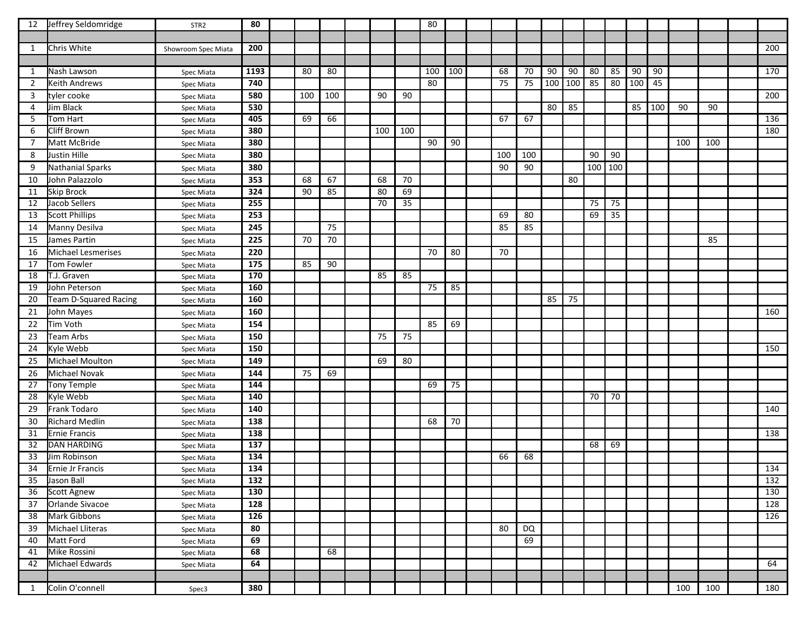| 12 | Jeffrey Seldomridge       | STR <sub>2</sub>    | 80   |     |     |     |     | 80  |     |     |     |           |    |           |    |     |     |     |     |     |
|----|---------------------------|---------------------|------|-----|-----|-----|-----|-----|-----|-----|-----|-----------|----|-----------|----|-----|-----|-----|-----|-----|
|    |                           |                     |      |     |     |     |     |     |     |     |     |           |    |           |    |     |     |     |     |     |
| 1  | Chris White               | Showroom Spec Miata | 200  |     |     |     |     |     |     |     |     |           |    |           |    |     |     |     |     | 200 |
|    |                           |                     |      |     |     |     |     |     |     |     |     |           |    |           |    |     |     |     |     |     |
| 1  | Nash Lawson               | Spec Miata          | 1193 | 80  | 80  |     |     | 100 | 100 | 68  | 70  | 90        | 90 | 80        | 85 | 90  | 90  |     |     | 170 |
| 2  | <b>Keith Andrews</b>      | Spec Miata          | 740  |     |     |     |     | 80  |     | 75  | 75  | 100   100 |    | 85        | 80 | 100 | 45  |     |     |     |
| 3  | tyler cooke               | Spec Miata          | 580  | 100 | 100 | 90  | 90  |     |     |     |     |           |    |           |    |     |     |     |     | 200 |
| 4  | Jim Black                 | Spec Miata          | 530  |     |     |     |     |     |     |     |     | 80        | 85 |           |    | 85  | 100 | 90  | 90  |     |
| 5  | Tom Hart                  | Spec Miata          | 405  | 69  | 66  |     |     |     |     | 67  | 67  |           |    |           |    |     |     |     |     | 136 |
| 6  | <b>Cliff Brown</b>        | Spec Miata          | 380  |     |     | 100 | 100 |     |     |     |     |           |    |           |    |     |     |     |     | 180 |
| 7  | Matt McBride              | Spec Miata          | 380  |     |     |     |     | 90  | 90  |     |     |           |    |           |    |     |     | 100 | 100 |     |
| 8  | Justin Hille              | Spec Miata          | 380  |     |     |     |     |     |     | 100 | 100 |           |    | 90        | 90 |     |     |     |     |     |
| 9  | <b>Nathanial Sparks</b>   | Spec Miata          | 380  |     |     |     |     |     |     | 90  | 90  |           |    | 100   100 |    |     |     |     |     |     |
| 10 | John Palazzolo            | Spec Miata          | 353  | 68  | 67  | 68  | 70  |     |     |     |     |           | 80 |           |    |     |     |     |     |     |
| 11 | <b>Skip Brock</b>         | Spec Miata          | 324  | 90  | 85  | 80  | 69  |     |     |     |     |           |    |           |    |     |     |     |     |     |
| 12 | Jacob Sellers             | Spec Miata          | 255  |     |     | 70  | 35  |     |     |     |     |           |    | 75        | 75 |     |     |     |     |     |
| 13 | <b>Scott Phillips</b>     | Spec Miata          | 253  |     |     |     |     |     |     | 69  | 80  |           |    | 69        | 35 |     |     |     |     |     |
| 14 | Manny Desilva             | Spec Miata          | 245  |     | 75  |     |     |     |     | 85  | 85  |           |    |           |    |     |     |     |     |     |
| 15 | James Partin              | Spec Miata          | 225  | 70  | 70  |     |     |     |     |     |     |           |    |           |    |     |     |     | 85  |     |
| 16 | <b>Michael Lesmerises</b> | Spec Miata          | 220  |     |     |     |     | 70  | 80  | 70  |     |           |    |           |    |     |     |     |     |     |
| 17 | Tom Fowler                | Spec Miata          | 175  | 85  | 90  |     |     |     |     |     |     |           |    |           |    |     |     |     |     |     |
| 18 | T.J. Graven               | Spec Miata          | 170  |     |     | 85  | 85  |     |     |     |     |           |    |           |    |     |     |     |     |     |
| 19 | John Peterson             | Spec Miata          | 160  |     |     |     |     | 75  | 85  |     |     |           |    |           |    |     |     |     |     |     |
| 20 | Team D-Squared Racing     | Spec Miata          | 160  |     |     |     |     |     |     |     |     | 85        | 75 |           |    |     |     |     |     |     |
| 21 | John Mayes                | Spec Miata          | 160  |     |     |     |     |     |     |     |     |           |    |           |    |     |     |     |     | 160 |
| 22 | Tim Voth                  | Spec Miata          | 154  |     |     |     |     | 85  | 69  |     |     |           |    |           |    |     |     |     |     |     |
| 23 | Team Arbs                 | Spec Miata          | 150  |     |     | 75  | 75  |     |     |     |     |           |    |           |    |     |     |     |     |     |
| 24 | Kyle Webb                 | Spec Miata          | 150  |     |     |     |     |     |     |     |     |           |    |           |    |     |     |     |     | 150 |
| 25 | <b>Michael Moulton</b>    | Spec Miata          | 149  |     |     | 69  | 80  |     |     |     |     |           |    |           |    |     |     |     |     |     |
| 26 | Michael Novak             | Spec Miata          | 144  | 75  | 69  |     |     |     |     |     |     |           |    |           |    |     |     |     |     |     |
| 27 | <b>Tony Temple</b>        | Spec Miata          | 144  |     |     |     |     | 69  | 75  |     |     |           |    |           |    |     |     |     |     |     |
| 28 | Kyle Webb                 | Spec Miata          | 140  |     |     |     |     |     |     |     |     |           |    | 70        | 70 |     |     |     |     |     |
| 29 | Frank Todaro              | Spec Miata          | 140  |     |     |     |     |     |     |     |     |           |    |           |    |     |     |     |     | 140 |
| 30 | <b>Richard Medlin</b>     | Spec Miata          | 138  |     |     |     |     | 68  | 70  |     |     |           |    |           |    |     |     |     |     |     |
| 31 | <b>Ernie Francis</b>      | Spec Miata          | 138  |     |     |     |     |     |     |     |     |           |    |           |    |     |     |     |     | 138 |
| 32 | <b>DAN HARDING</b>        | Spec Miata          | 137  |     |     |     |     |     |     |     |     |           |    | 68        | 69 |     |     |     |     |     |
| 33 | Jim Robinson              | Spec Miata          | 134  |     |     |     |     |     |     | 66  | 68  |           |    |           |    |     |     |     |     |     |
| 34 | <b>Ernie Jr Francis</b>   | Spec Miata          | 134  |     |     |     |     |     |     |     |     |           |    |           |    |     |     |     |     | 134 |
| 35 | Jason Ball                | Spec Miata          | 132  |     |     |     |     |     |     |     |     |           |    |           |    |     |     |     |     | 132 |
| 36 | <b>Scott Agnew</b>        | Spec Miata          | 130  |     |     |     |     |     |     |     |     |           |    |           |    |     |     |     |     | 130 |
| 37 | Orlande Sivacoe           | Spec Miata          | 128  |     |     |     |     |     |     |     |     |           |    |           |    |     |     |     |     | 128 |
| 38 | <b>Mark Gibbons</b>       | Spec Miata          | 126  |     |     |     |     |     |     |     |     |           |    |           |    |     |     |     |     | 126 |
| 39 | Michael Lliteras          | Spec Miata          | 80   |     |     |     |     |     |     | 80  | DQ  |           |    |           |    |     |     |     |     |     |
| 40 | Matt Ford                 | Spec Miata          | 69   |     |     |     |     |     |     |     | 69  |           |    |           |    |     |     |     |     |     |
| 41 | Mike Rossini              | Spec Miata          | 68   |     | 68  |     |     |     |     |     |     |           |    |           |    |     |     |     |     |     |
| 42 | Michael Edwards           | Spec Miata          | 64   |     |     |     |     |     |     |     |     |           |    |           |    |     |     |     |     | 64  |
|    |                           |                     |      |     |     |     |     |     |     |     |     |           |    |           |    |     |     |     |     |     |
| 1  | Colin O'connell           | Spec3               | 380  |     |     |     |     |     |     |     |     |           |    |           |    |     |     | 100 | 100 | 180 |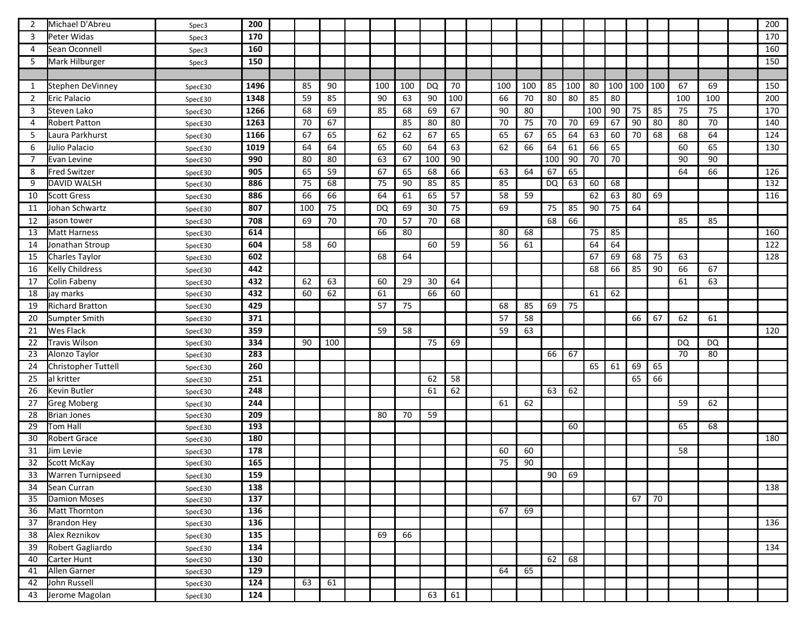| 2               | Michael D'Abreu        | Spec3   | 200              |                 |     |     |     |           |     |     |                 |         |     |     |     |         |    |     |     | 200 |
|-----------------|------------------------|---------|------------------|-----------------|-----|-----|-----|-----------|-----|-----|-----------------|---------|-----|-----|-----|---------|----|-----|-----|-----|
| 3               | Peter Widas            | Spec3   | 170              |                 |     |     |     |           |     |     |                 |         |     |     |     |         |    |     |     | 170 |
| $\overline{4}$  | Sean Oconnell          | Spec3   | 160              |                 |     |     |     |           |     |     |                 |         |     |     |     |         |    |     |     | 160 |
| 5               | Mark Hilburger         | Spec3   | 150              |                 |     |     |     |           |     |     |                 |         |     |     |     |         |    |     |     | 150 |
|                 |                        |         |                  |                 |     |     |     |           |     |     |                 |         |     |     |     |         |    |     |     |     |
| 1               | Stephen DeVinney       | SpecE30 | 1496             | 85              | 90  | 100 | 100 | <b>DQ</b> | 70  | 100 | 100             | 85      | 100 | 80  | 100 | 100 100 |    | 67  | 69  | 150 |
| 2               | <b>Eric Palacio</b>    | SpecE30 | 1348             | 59              | 85  | 90  | 63  | 90        | 100 | 66  | 70              | 80      | 80  | 85  | 80  |         |    | 100 | 100 | 200 |
| 3               | Steven Lako            | SpecE30 | 1266             | 68              | 69  | 85  | 68  | 69        | 67  | 90  | 80              |         |     | 100 | 90  | 75      | 85 | 75  | 75  | 170 |
| 4               | <b>Robert Patton</b>   | SpecE30 | 1263             | $\overline{70}$ | 67  |     | 85  | 80        | 80  | 70  | $\overline{75}$ | 70      | 70  | 69  | 67  | 90      | 80 | 80  | 70  | 140 |
| 5               | Laura Parkhurst        | SpecE30 | 1166             | 67              | 65  | 62  | 62  | 67        | 65  | 65  | 67              | 65      | 64  | 63  | 60  | 70      | 68 | 68  | 64  | 124 |
| 6               | Julio Palacio          | SpecE30 | 1019             | 64              | 64  | 65  | 60  | 64        | 63  | 62  | 66              | 64      | 61  | 66  | 65  |         |    | 60  | 65  | 130 |
| 7               | Evan Levine            | SpecE30 | 990              | 80              | 80  | 63  | 67  | 100       | 90  |     |                 | 100     | 90  | 70  | 70  |         |    | 90  | 90  |     |
| 8               | Fred Switzer           | SpecE30 | 905              | 65              | 59  | 67  | 65  | 68        | 66  | 63  | 64              | 67      | 65  |     |     |         |    | 64  | 66  | 126 |
| 9               | <b>DAVID WALSH</b>     | SpecE30 | 886              | 75              | 68  | 75  | 90  | 85        | 85  | 85  |                 | DQ      | 63  | 60  | 68  |         |    |     |     | 132 |
| 10              | <b>Scott Gress</b>     | SpecE30 | 886              | 66              | 66  | 64  | 61  | 65        | 57  | 58  | 59              |         |     | 62  | 63  | 80      | 69 |     |     | 116 |
| 11              | Johan Schwartz         | SpecE30 | 807              | 100             | 75  | DQ  | 69  | 30        | 75  | 69  |                 | 75      | 85  | 90  | 75  | 64      |    |     |     |     |
| 12              | iason tower            | SpecE30 | 708              | 69              | 70  | 70  | 57  | 70        | 68  |     |                 | 68      | 66  |     |     |         |    | 85  | 85  |     |
| 13              | Matt Harness           | SpecE30 | 614              |                 |     | 66  | 80  |           |     | 80  | 68              |         |     | 75  | 85  |         |    |     |     | 160 |
| 14              | Jonathan Stroup        | SpecE30 | 604              | 58              | 60  |     |     | 60        | 59  | 56  | 61              |         |     | 64  | 64  |         |    |     |     | 122 |
| 15              | Charles Taylor         | SpecE30 | 602              |                 |     | 68  | 64  |           |     |     |                 |         |     | 67  | 69  | 68      | 75 | 63  |     | 128 |
| 16              | <b>Kelly Childress</b> | SpecE30 | 442              |                 |     |     |     |           |     |     |                 |         |     | 68  | 66  | 85      | 90 | 66  | 67  |     |
| 17              | Colin Fabeny           | SpecE30 | 432              | 62              | 63  | 60  | 29  | 30        | 64  |     |                 |         |     |     |     |         |    | 61  | 63  |     |
| 18              | jay marks              | SpecE30 | 432              | 60              | 62  | 61  |     | 66        | 60  |     |                 |         |     | 61  | 62  |         |    |     |     |     |
| 19              | <b>Richard Bratton</b> | SpecE30 | 429              |                 |     | 57  | 75  |           |     | 68  | 85              | 69      | 75  |     |     |         |    |     |     |     |
| 20              | <b>Sumpter Smith</b>   | SpecE30 | 371              |                 |     |     |     |           |     | 57  | 58              |         |     |     |     | 66      | 67 | 62  | 61  |     |
| 21              | Wes Flack              | SpecE30 | 359              |                 |     | 59  | 58  |           |     | 59  | 63              |         |     |     |     |         |    |     |     | 120 |
| 22              | <b>Travis Wilson</b>   | SpecE30 | 334              | 90              | 100 |     |     | 75        | 69  |     |                 |         |     |     |     |         |    | DQ  | DQ  |     |
| 23              | Alonzo Taylor          | SpecE30 | 283              |                 |     |     |     |           |     |     |                 | 66      | 67  |     |     |         |    | 70  | 80  |     |
| 24              | Christopher Tuttell    | SpecE30 | 260              |                 |     |     |     |           |     |     |                 |         |     | 65  | 61  | 69      | 65 |     |     |     |
| 25              | al kritter             | SpecE30 | 251              |                 |     |     |     | 62        | 58  |     |                 |         |     |     |     | 65      | 66 |     |     |     |
| 26              | Kevin Butler           | SpecE30 | 248              |                 |     |     |     | 61        | 62  |     |                 | 63      | 62  |     |     |         |    |     |     |     |
| 27              | <b>Greg Moberg</b>     | SpecE30 | 244              |                 |     |     |     |           |     | 61  | 62              |         |     |     |     |         |    | 59  | 62  |     |
| 28              | <b>Brian Jones</b>     | SpecE30 | 209              |                 |     | 80  | 70  | 59        |     |     |                 |         |     |     |     |         |    |     |     |     |
| 29              | Tom Hall               | SpecE30 | $\frac{193}{ }$  |                 |     |     |     |           |     |     |                 |         | 60  |     |     |         |    | 65  | 68  |     |
| 30              | <b>Robert Grace</b>    | SpecE30 | 180              |                 |     |     |     |           |     |     |                 |         |     |     |     |         |    |     |     | 180 |
| 31              | Jim Levie              | SpecE30 | 178              |                 |     |     |     |           |     | 60  | 60              |         |     |     |     |         |    | 58  |     |     |
| 32              | Scott McKay            | SpecE30 | 165              |                 |     |     |     |           |     | 75  | 90              |         |     |     |     |         |    |     |     |     |
| $\overline{33}$ | Warren Turnipseed      | SpecE30 | 159              |                 |     |     |     |           |     |     |                 | $90$ 69 |     |     |     |         |    |     |     |     |
| 34              | Sean Curran            | SpecE30 | 138              |                 |     |     |     |           |     |     |                 |         |     |     |     |         |    |     |     | 138 |
| 35              | <b>Damion Moses</b>    | SpecE30 | 137              |                 |     |     |     |           |     |     |                 |         |     |     |     | 67      | 70 |     |     |     |
| 36              | Matt Thornton          | SpecE30 | 136              |                 |     |     |     |           |     | 67  | 69              |         |     |     |     |         |    |     |     |     |
| 37              | <b>Brandon Hey</b>     | SpecE30 | 136              |                 |     |     |     |           |     |     |                 |         |     |     |     |         |    |     |     | 136 |
| 38              | Alex Reznikov          | SpecE30 | 135              |                 |     | 69  | 66  |           |     |     |                 |         |     |     |     |         |    |     |     |     |
| 39              | Robert Gagliardo       | SpecE30 | 134              |                 |     |     |     |           |     |     |                 |         |     |     |     |         |    |     |     | 134 |
| 40              | Carter Hunt            | SpecE30 | 130              |                 |     |     |     |           |     |     |                 | 62      | 68  |     |     |         |    |     |     |     |
| 41              | Allen Garner           | SpecE30 | $\overline{129}$ |                 |     |     |     |           |     | 64  | 65              |         |     |     |     |         |    |     |     |     |
| 42              | John Russell           | SpecE30 | 124              | 63              | 61  |     |     |           |     |     |                 |         |     |     |     |         |    |     |     |     |
| 43              | Jerome Magolan         | SpecE30 | 124              |                 |     |     |     | 63        | 61  |     |                 |         |     |     |     |         |    |     |     |     |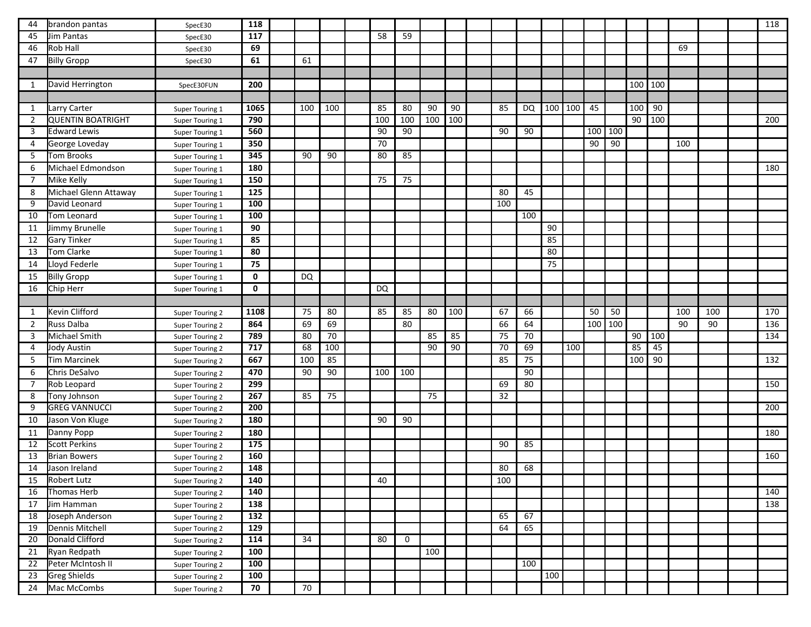| 44             | brandon pantas           | SpecE30                | 118  |     |     |     |     |     |     |     |     |     |           |         |    |     |        |     |     | 118 |
|----------------|--------------------------|------------------------|------|-----|-----|-----|-----|-----|-----|-----|-----|-----|-----------|---------|----|-----|--------|-----|-----|-----|
| 45             | Jim Pantas               | SpecE30                | 117  |     |     | 58  | 59  |     |     |     |     |     |           |         |    |     |        |     |     |     |
| 46             | Rob Hall                 | SpecE30                | 69   |     |     |     |     |     |     |     |     |     |           |         |    |     |        | 69  |     |     |
| 47             | <b>Billy Gropp</b>       | SpecE30                | 61   | 61  |     |     |     |     |     |     |     |     |           |         |    |     |        |     |     |     |
|                |                          |                        |      |     |     |     |     |     |     |     |     |     |           |         |    |     |        |     |     |     |
| 1              | David Herrington         | SpecE30FUN             | 200  |     |     |     |     |     |     |     |     |     |           |         |    | 100 | 100    |     |     |     |
|                |                          |                        |      |     |     |     |     |     |     |     |     |     |           |         |    |     |        |     |     |     |
| 1              | <b>Larry Carter</b>      | Super Touring 1        | 1065 | 100 | 100 | 85  | 80  | 90  | 90  | 85  | DQ  |     | 100   100 | 45      |    | 100 | 90     |     |     |     |
| 2              | <b>QUENTIN BOATRIGHT</b> | Super Touring 1        | 790  |     |     | 100 | 100 | 100 | 100 |     |     |     |           |         |    |     | 90 100 |     |     | 200 |
| 3              | Edward Lewis             | Super Touring 1        | 560  |     |     | 90  | 90  |     |     | 90  | 90  |     |           | 100 100 |    |     |        |     |     |     |
| 4              | George Loveday           | Super Touring 1        | 350  |     |     | 70  |     |     |     |     |     |     |           | 90      | 90 |     |        | 100 |     |     |
| 5              | Tom Brooks               | Super Touring 1        | 345  | 90  | 90  | 80  | 85  |     |     |     |     |     |           |         |    |     |        |     |     |     |
| 6              | Michael Edmondson        | Super Touring 1        | 180  |     |     |     |     |     |     |     |     |     |           |         |    |     |        |     |     | 180 |
| 7              | Mike Kelly               | Super Touring 1        | 150  |     |     | 75  | 75  |     |     |     |     |     |           |         |    |     |        |     |     |     |
| 8              | Michael Glenn Attaway    | Super Touring 1        | 125  |     |     |     |     |     |     | 80  | 45  |     |           |         |    |     |        |     |     |     |
| 9              | David Leonard            | Super Touring 1        | 100  |     |     |     |     |     |     | 100 |     |     |           |         |    |     |        |     |     |     |
| 10             | Tom Leonard              | Super Touring 1        | 100  |     |     |     |     |     |     |     | 100 |     |           |         |    |     |        |     |     |     |
| 11             | Jimmy Brunelle           | Super Touring 1        | 90   |     |     |     |     |     |     |     |     | 90  |           |         |    |     |        |     |     |     |
| 12             | <b>Gary Tinker</b>       | Super Touring 1        | 85   |     |     |     |     |     |     |     |     | 85  |           |         |    |     |        |     |     |     |
| 13             | <b>Tom Clarke</b>        | Super Touring 1        | 80   |     |     |     |     |     |     |     |     | 80  |           |         |    |     |        |     |     |     |
| 14             | Lloyd Federle            | Super Touring 1        | 75   |     |     |     |     |     |     |     |     | 75  |           |         |    |     |        |     |     |     |
| 15             | <b>Billy Gropp</b>       | Super Touring 1        | 0    | DQ  |     |     |     |     |     |     |     |     |           |         |    |     |        |     |     |     |
| 16             | Chip Herr                | Super Touring 1        | 0    |     |     | DQ  |     |     |     |     |     |     |           |         |    |     |        |     |     |     |
|                |                          |                        |      |     |     |     |     |     |     |     |     |     |           |         |    |     |        |     |     |     |
| 1              | Kevin Clifford           | Super Touring 2        | 1108 | 75  | 80  | 85  | 85  | 80  | 100 | 67  | 66  |     |           | 50      | 50 |     |        | 100 | 100 | 170 |
| $\overline{2}$ | <b>Russ Dalba</b>        | <b>Super Touring 2</b> | 864  | 69  | 69  |     | 80  |     |     | 66  | 64  |     |           | 100 100 |    |     |        | 90  | 90  | 136 |
| 3              | Michael Smith            | Super Touring 2        | 789  | 80  | 70  |     |     | 85  | 85  | 75  | 70  |     |           |         |    | 90  | 100    |     |     | 134 |
| 4              | Jody Austin              | Super Touring 2        | 717  | 68  | 100 |     |     | 90  | 90  | 70  | 69  |     | 100       |         |    | 85  | 45     |     |     |     |
| 5              | <b>Tim Marcinek</b>      | Super Touring 2        | 667  | 100 | 85  |     |     |     |     | 85  | 75  |     |           |         |    | 100 | 90     |     |     | 132 |
| 6              | Chris DeSalvo            | Super Touring 2        | 470  | 90  | 90  | 100 | 100 |     |     |     | 90  |     |           |         |    |     |        |     |     |     |
| 7              | Rob Leopard              | Super Touring 2        | 299  |     |     |     |     |     |     | 69  | 80  |     |           |         |    |     |        |     |     | 150 |
| 8              | Tony Johnson             | Super Touring 2        | 267  | 85  | 75  |     |     | 75  |     | 32  |     |     |           |         |    |     |        |     |     |     |
| 9              | <b>GREG VANNUCCI</b>     | Super Touring 2        | 200  |     |     |     |     |     |     |     |     |     |           |         |    |     |        |     |     | 200 |
| 10             | Jason Von Kluge          | Super Touring 2        | 180  |     |     | 90  | 90  |     |     |     |     |     |           |         |    |     |        |     |     |     |
| 11             | Danny Popp               | Super Touring 2        | 180  |     |     |     |     |     |     |     |     |     |           |         |    |     |        |     |     | 180 |
| 12             | <b>Scott Perkins</b>     | Super Touring 2        | 175  |     |     |     |     |     |     | 90  | 85  |     |           |         |    |     |        |     |     |     |
| 13             | <b>Brian Bowers</b>      | Super Touring 2        | 160  |     |     |     |     |     |     |     |     |     |           |         |    |     |        |     |     | 160 |
| 14             | Jason Ireland            | Super Touring 2        | 148  |     |     |     |     |     |     | 80  | 68  |     |           |         |    |     |        |     |     |     |
| 15             | <b>Robert Lutz</b>       | Super Touring 2        | 140  |     |     | 40  |     |     |     | 100 |     |     |           |         |    |     |        |     |     |     |
| 16             | Thomas Herb              | Super Touring 2        | 140  |     |     |     |     |     |     |     |     |     |           |         |    |     |        |     |     | 140 |
| 17             | Jim Hamman               | Super Touring 2        | 138  |     |     |     |     |     |     |     |     |     |           |         |    |     |        |     |     | 138 |
| 18             | Joseph Anderson          | Super Touring 2        | 132  |     |     |     |     |     |     | 65  | 67  |     |           |         |    |     |        |     |     |     |
| 19             | Dennis Mitchell          | Super Touring 2        | 129  |     |     |     |     |     |     | 64  | 65  |     |           |         |    |     |        |     |     |     |
| 20             | Donald Clifford          | Super Touring 2        | 114  | 34  |     | 80  | 0   |     |     |     |     |     |           |         |    |     |        |     |     |     |
| 21             | Ryan Redpath             | Super Touring 2        | 100  |     |     |     |     | 100 |     |     |     |     |           |         |    |     |        |     |     |     |
| 22             | Peter McIntosh II        | Super Touring 2        | 100  |     |     |     |     |     |     |     | 100 |     |           |         |    |     |        |     |     |     |
| 23             | <b>Greg Shields</b>      | Super Touring 2        | 100  |     |     |     |     |     |     |     |     | 100 |           |         |    |     |        |     |     |     |
| 24             | Mac McCombs              | Super Touring 2        | 70   | 70  |     |     |     |     |     |     |     |     |           |         |    |     |        |     |     |     |